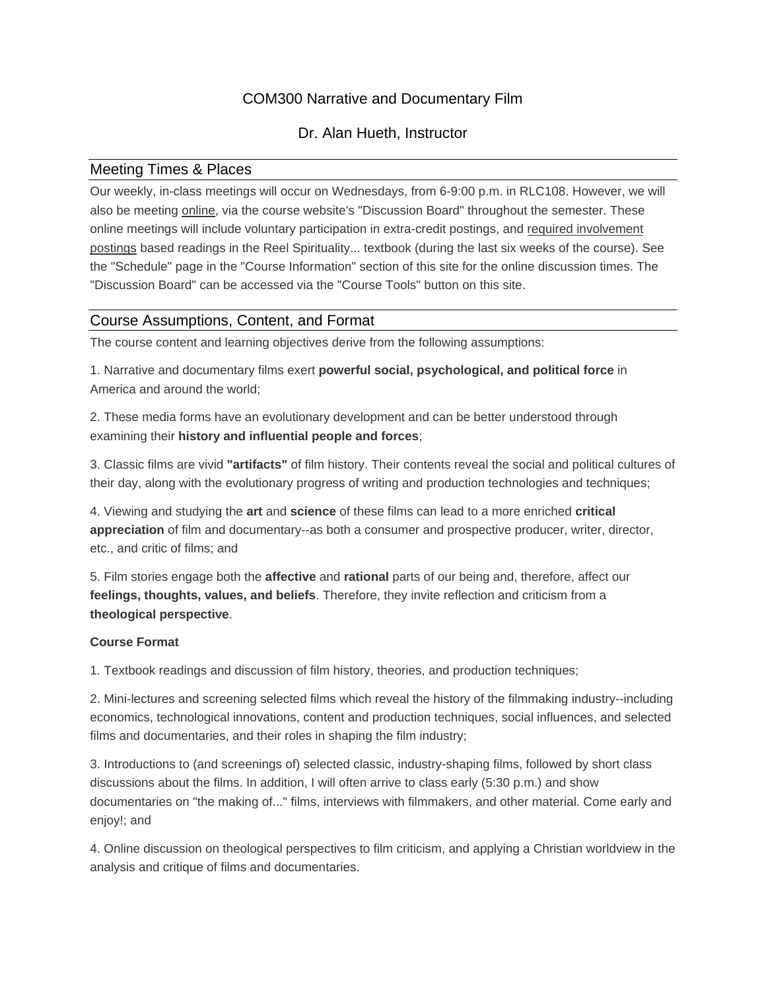# COM300 Narrative and Documentary Film

# Dr. Alan Hueth, Instructor

## Meeting Times & Places

Our weekly, in-class meetings will occur on Wednesdays, from 6-9:00 p.m. in RLC108. However, we will also be meeting online, via the course website's "Discussion Board" throughout the semester. These online meetings will include voluntary participation in extra-credit postings, and required involvement postings based readings in the Reel Spirituality... textbook (during the last six weeks of the course). See the "Schedule" page in the "Course Information" section of this site for the online discussion times. The "Discussion Board" can be accessed via the "Course Tools" button on this site.

## Course Assumptions, Content, and Format

The course content and learning objectives derive from the following assumptions:

1. Narrative and documentary films exert **powerful social, psychological, and political force** in America and around the world;

2. These media forms have an evolutionary development and can be better understood through examining their **history and influential people and forces**;

3. Classic films are vivid **"artifacts"** of film history. Their contents reveal the social and political cultures of their day, along with the evolutionary progress of writing and production technologies and techniques;

4. Viewing and studying the **art** and **science** of these films can lead to a more enriched **critical appreciation** of film and documentary--as both a consumer and prospective producer, writer, director, etc., and critic of films; and

5. Film stories engage both the **affective** and **rational** parts of our being and, therefore, affect our **feelings, thoughts, values, and beliefs**. Therefore, they invite reflection and criticism from a **theological perspective**.

## **Course Format**

1. Textbook readings and discussion of film history, theories, and production techniques;

2. Mini-lectures and screening selected films which reveal the history of the filmmaking industry--including economics, technological innovations, content and production techniques, social influences, and selected films and documentaries, and their roles in shaping the film industry;

3. Introductions to (and screenings of) selected classic, industry-shaping films, followed by short class discussions about the films. In addition, I will often arrive to class early (5:30 p.m.) and show documentaries on "the making of..." films, interviews with filmmakers, and other material. Come early and enjoy!; and

4. Online discussion on theological perspectives to film criticism, and applying a Christian worldview in the analysis and critique of films and documentaries.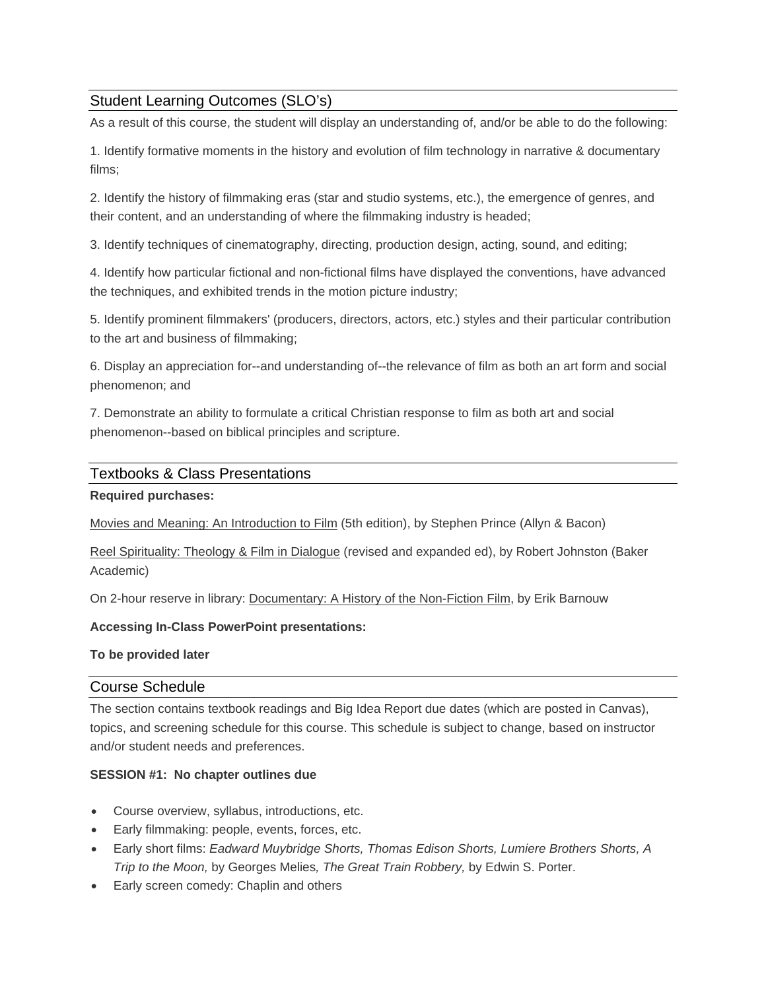# Student Learning Outcomes (SLO's)

As a result of this course, the student will display an understanding of, and/or be able to do the following:

1. Identify formative moments in the history and evolution of film technology in narrative & documentary films;

2. Identify the history of filmmaking eras (star and studio systems, etc.), the emergence of genres, and their content, and an understanding of where the filmmaking industry is headed;

3. Identify techniques of cinematography, directing, production design, acting, sound, and editing;

4. Identify how particular fictional and non-fictional films have displayed the conventions, have advanced the techniques, and exhibited trends in the motion picture industry;

5. Identify prominent filmmakers' (producers, directors, actors, etc.) styles and their particular contribution to the art and business of filmmaking;

6. Display an appreciation for--and understanding of--the relevance of film as both an art form and social phenomenon; and

7. Demonstrate an ability to formulate a critical Christian response to film as both art and social phenomenon--based on biblical principles and scripture.

### Textbooks & Class Presentations

### **Required purchases:**

Movies and Meaning: An Introduction to Film (5th edition), by Stephen Prince (Allyn & Bacon)

Reel Spirituality: Theology & Film in Dialogue (revised and expanded ed), by Robert Johnston (Baker Academic)

On 2-hour reserve in library: Documentary: A History of the Non-Fiction Film, by Erik Barnouw

#### **Accessing In-Class PowerPoint presentations:**

#### **To be provided later**

### Course Schedule

The section contains textbook readings and Big Idea Report due dates (which are posted in Canvas), topics, and screening schedule for this course. This schedule is subject to change, based on instructor and/or student needs and preferences.

#### **SESSION #1: No chapter outlines due**

- Course overview, syllabus, introductions, etc.
- Early filmmaking: people, events, forces, etc.
- Early short films: *Eadward Muybridge Shorts, Thomas Edison Shorts, Lumiere Brothers Shorts, A Trip to the Moon,* by Georges Melies*, The Great Train Robbery,* by Edwin S. Porter.
- Early screen comedy: Chaplin and others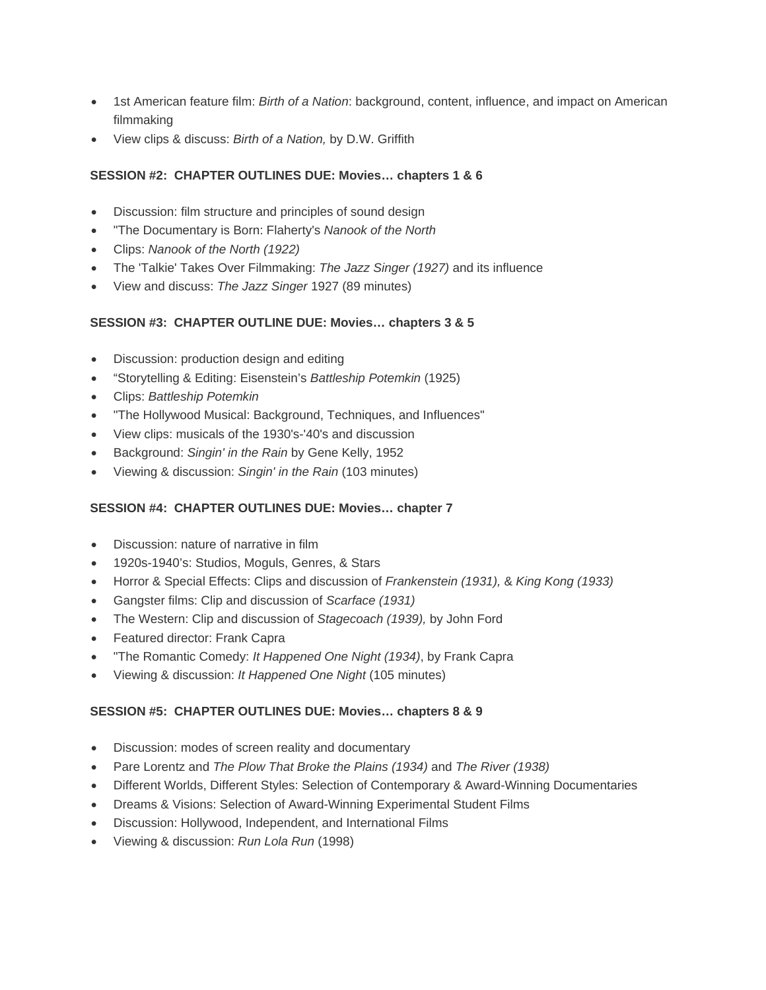- 1st American feature film: *Birth of a Nation*: background, content, influence, and impact on American filmmaking
- View clips & discuss: *Birth of a Nation,* by D.W. Griffith

### **SESSION #2: CHAPTER OUTLINES DUE: Movies… chapters 1 & 6**

- Discussion: film structure and principles of sound design
- "The Documentary is Born: Flaherty's *Nanook of the North*
- Clips: *Nanook of the North (1922)*
- The 'Talkie' Takes Over Filmmaking: *The Jazz Singer (1927)* and its influence
- View and discuss: *The Jazz Singer* 1927 (89 minutes)

#### **SESSION #3: CHAPTER OUTLINE DUE: Movies… chapters 3 & 5**

- Discussion: production design and editing
- "Storytelling & Editing: Eisenstein's *Battleship Potemkin* (1925)
- Clips: *Battleship Potemkin*
- "The Hollywood Musical: Background, Techniques, and Influences"
- View clips: musicals of the 1930's-'40's and discussion
- Background: *Singin' in the Rain* by Gene Kelly, 1952
- Viewing & discussion: *Singin' in the Rain* (103 minutes)

#### **SESSION #4: CHAPTER OUTLINES DUE: Movies… chapter 7**

- Discussion: nature of narrative in film
- 1920s-1940's: Studios, Moguls, Genres, & Stars
- Horror & Special Effects: Clips and discussion of *Frankenstein (1931),* & *King Kong (1933)*
- Gangster films: Clip and discussion of *Scarface (1931)*
- The Western: Clip and discussion of *Stagecoach (1939),* by John Ford
- Featured director: Frank Capra
- "The Romantic Comedy: *It Happened One Night (1934)*, by Frank Capra
- Viewing & discussion: *It Happened One Night* (105 minutes)

#### **SESSION #5: CHAPTER OUTLINES DUE: Movies… chapters 8 & 9**

- Discussion: modes of screen reality and documentary
- Pare Lorentz and *The Plow That Broke the Plains (1934)* and *The River (1938)*
- Different Worlds, Different Styles: Selection of Contemporary & Award-Winning Documentaries
- Dreams & Visions: Selection of Award-Winning Experimental Student Films
- Discussion: Hollywood, Independent, and International Films
- Viewing & discussion: *Run Lola Run* (1998)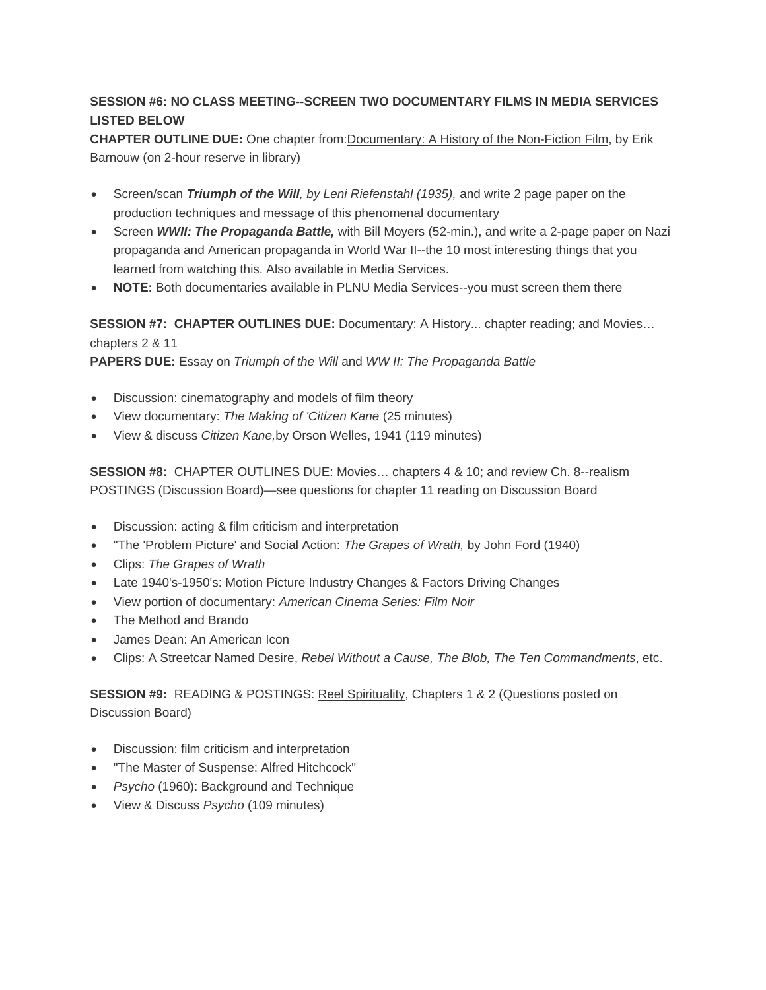## **SESSION #6: NO CLASS MEETING--SCREEN TWO DOCUMENTARY FILMS IN MEDIA SERVICES LISTED BELOW**

**CHAPTER OUTLINE DUE:** One chapter from:Documentary: A History of the Non-Fiction Film, by Erik Barnouw (on 2-hour reserve in library)

- Screen/scan *Triumph of the Will, by Leni Riefenstahl (1935),* and write 2 page paper on the production techniques and message of this phenomenal documentary
- Screen *WWII: The Propaganda Battle,* with Bill Moyers (52-min.), and write a 2-page paper on Nazi propaganda and American propaganda in World War II--the 10 most interesting things that you learned from watching this. Also available in Media Services.
- **NOTE:** Both documentaries available in PLNU Media Services--you must screen them there

**SESSION #7: CHAPTER OUTLINES DUE:** Documentary: A History... chapter reading; and Movies… chapters 2 & 11

**PAPERS DUE:** Essay on *Triumph of the Will* and *WW II: The Propaganda Battle*

- Discussion: cinematography and models of film theory
- View documentary: *The Making of 'Citizen Kane* (25 minutes)
- View & discuss *Citizen Kane,*by Orson Welles, 1941 (119 minutes)

**SESSION #8:** CHAPTER OUTLINES DUE: Movies… chapters 4 & 10; and review Ch. 8--realism POSTINGS (Discussion Board)—see questions for chapter 11 reading on Discussion Board

- Discussion: acting & film criticism and interpretation
- "The 'Problem Picture' and Social Action: *The Grapes of Wrath,* by John Ford (1940)
- Clips: *The Grapes of Wrath*
- Late 1940's-1950's: Motion Picture Industry Changes & Factors Driving Changes
- View portion of documentary: *American Cinema Series: Film Noir*
- The Method and Brando
- James Dean: An American Icon
- Clips: A Streetcar Named Desire, *Rebel Without a Cause, The Blob, The Ten Commandments*, etc.

**SESSION #9:** READING & POSTINGS: Reel Spirituality, Chapters 1 & 2 (Questions posted on Discussion Board)

- Discussion: film criticism and interpretation
- "The Master of Suspense: Alfred Hitchcock"
- *Psycho* (1960): Background and Technique
- View & Discuss *Psycho* (109 minutes)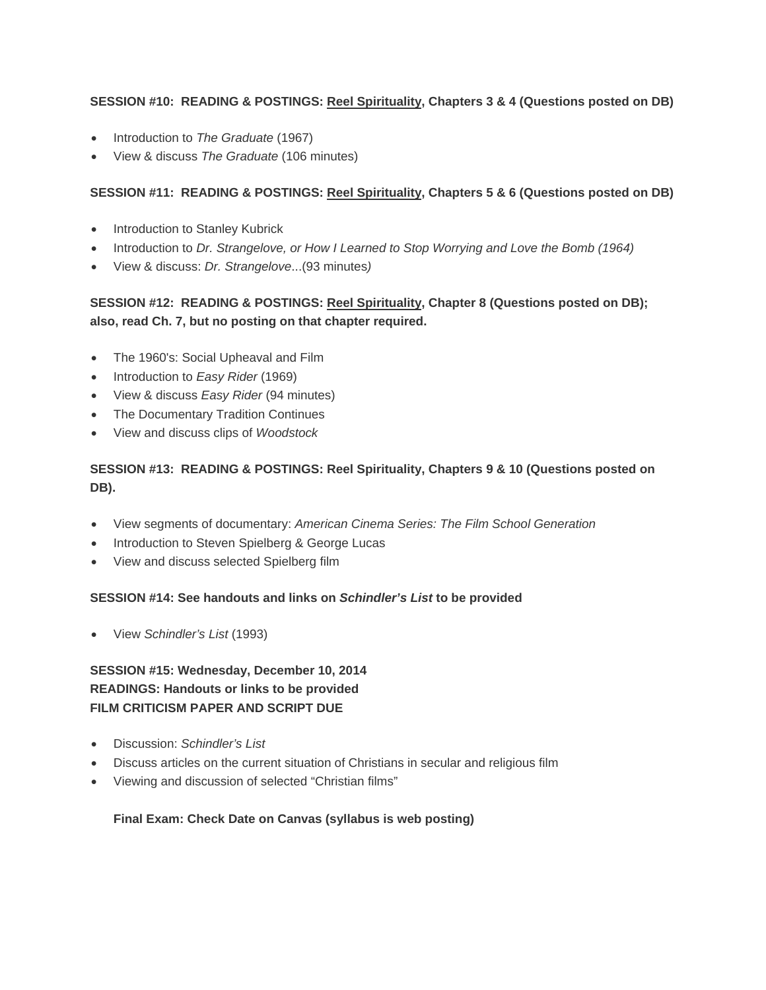### **SESSION #10: READING & POSTINGS: Reel Spirituality, Chapters 3 & 4 (Questions posted on DB)**

- Introduction to *The Graduate* (1967)
- View & discuss *The Graduate* (106 minutes)

## **SESSION #11: READING & POSTINGS: Reel Spirituality, Chapters 5 & 6 (Questions posted on DB)**

- Introduction to Stanley Kubrick
- Introduction to *Dr. Strangelove, or How I Learned to Stop Worrying and Love the Bomb (1964)*
- View & discuss: *Dr. Strangelove*...(93 minutes*)*

# SESSION #12: READING & POSTINGS: Reel Spirituality, Chapter 8 (Questions posted on DB); **also, read Ch. 7, but no posting on that chapter required.**

- The 1960's: Social Upheaval and Film
- Introduction to *Easy Rider* (1969)
- View & discuss *Easy Rider* (94 minutes)
- The Documentary Tradition Continues
- View and discuss clips of *Woodstock*

## **SESSION #13: READING & POSTINGS: Reel Spirituality, Chapters 9 & 10 (Questions posted on DB).**

- View segments of documentary: *American Cinema Series: The Film School Generation*
- Introduction to Steven Spielberg & George Lucas
- View and discuss selected Spielberg film

### **SESSION #14: See handouts and links on** *Schindler's List* **to be provided**

View *Schindler's List* (1993)

## **SESSION #15: Wednesday, December 10, 2014 READINGS: Handouts or links to be provided FILM CRITICISM PAPER AND SCRIPT DUE**

- Discussion: *Schindler's List*
- Discuss articles on the current situation of Christians in secular and religious film
- Viewing and discussion of selected "Christian films"

### **Final Exam: Check Date on Canvas (syllabus is web posting)**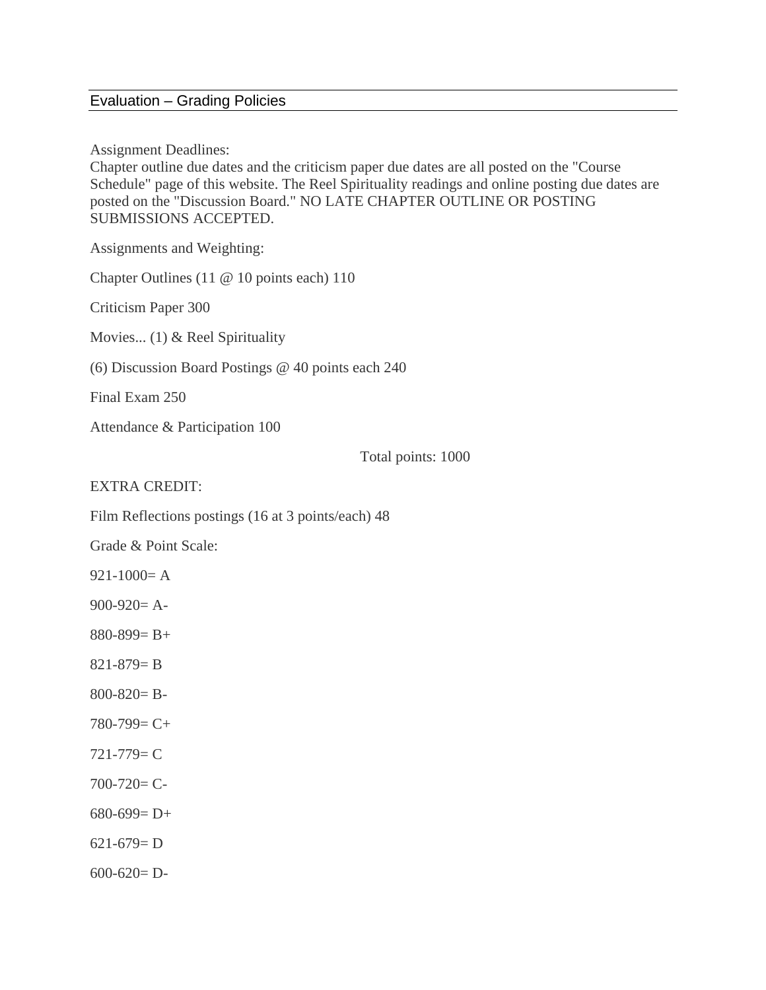# Evaluation – Grading Policies

Assignment Deadlines:

Chapter outline due dates and the criticism paper due dates are all posted on the "Course Schedule" page of this website. The Reel Spirituality readings and online posting due dates are posted on the "Discussion Board." NO LATE CHAPTER OUTLINE OR POSTING SUBMISSIONS ACCEPTED.

Assignments and Weighting:

Chapter Outlines (11 @ 10 points each) 110

Criticism Paper 300

Movies... (1) & Reel Spirituality

(6) Discussion Board Postings @ 40 points each 240

Final Exam 250

Attendance & Participation 100

Total points: 1000

## EXTRA CREDIT:

Film Reflections postings (16 at 3 points/each) 48

Grade & Point Scale:

 $921-1000=$ A

900-920= A-

880-899= B+

821-879= B

800-820= B-

780-799= C+

721-779= C

 $700 - 720 = C$ 

680-699= D+

 $621-679= D$ 

 $600-620= D-$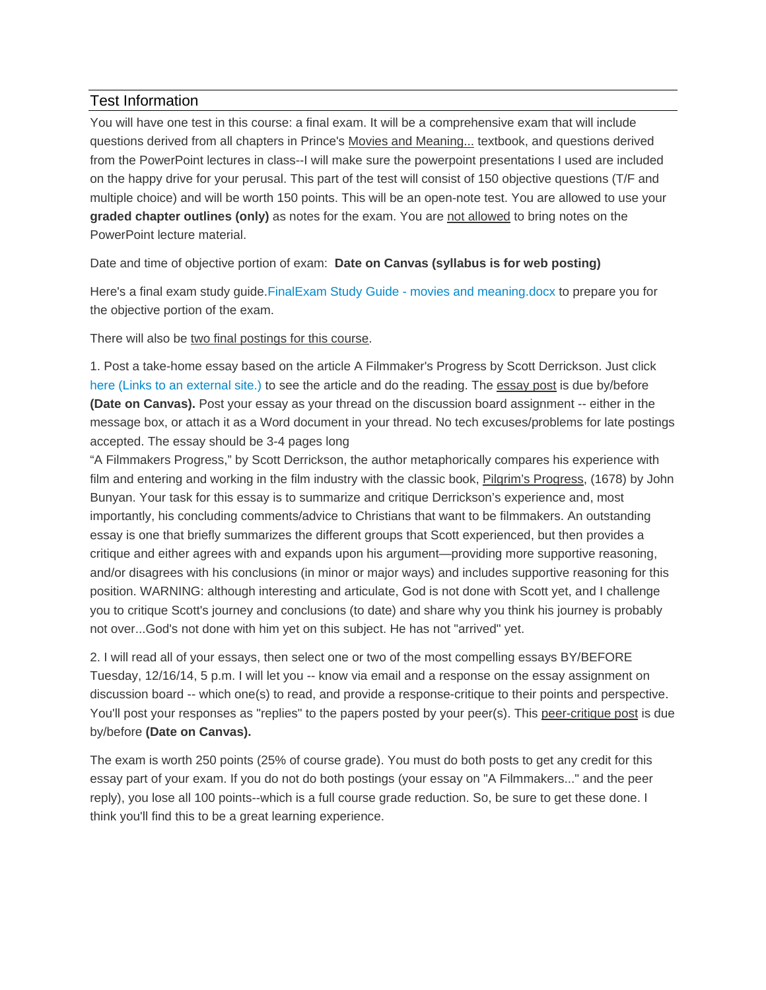## Test Information

You will have one test in this course: a final exam. It will be a comprehensive exam that will include questions derived from all chapters in Prince's Movies and Meaning... textbook, and questions derived from the PowerPoint lectures in class--I will make sure the powerpoint presentations I used are included on the happy drive for your perusal. This part of the test will consist of 150 objective questions (T/F and multiple choice) and will be worth 150 points. This will be an open-note test. You are allowed to use your **graded chapter outlines (only)** as notes for the exam. You are not allowed to bring notes on the PowerPoint lecture material.

Date and time of objective portion of exam: **Date on Canvas (syllabus is for web posting)**

Here's a final exam study guide.FinalExam Study Guide - movies and meaning.docx to prepare you for the objective portion of the exam.

There will also be two final postings for this course.

1. Post a take-home essay based on the article A Filmmaker's Progress by Scott Derrickson. Just click here (Links to an external site.) to see the article and do the reading. The essay post is due by/before **(Date on Canvas).** Post your essay as your thread on the discussion board assignment -- either in the message box, or attach it as a Word document in your thread. No tech excuses/problems for late postings accepted. The essay should be 3-4 pages long

"A Filmmakers Progress," by Scott Derrickson, the author metaphorically compares his experience with film and entering and working in the film industry with the classic book, Pilgrim's Progress, (1678) by John Bunyan. Your task for this essay is to summarize and critique Derrickson's experience and, most importantly, his concluding comments/advice to Christians that want to be filmmakers. An outstanding essay is one that briefly summarizes the different groups that Scott experienced, but then provides a critique and either agrees with and expands upon his argument—providing more supportive reasoning, and/or disagrees with his conclusions (in minor or major ways) and includes supportive reasoning for this position. WARNING: although interesting and articulate, God is not done with Scott yet, and I challenge you to critique Scott's journey and conclusions (to date) and share why you think his journey is probably not over...God's not done with him yet on this subject. He has not "arrived" yet.

2. I will read all of your essays, then select one or two of the most compelling essays BY/BEFORE Tuesday, 12/16/14, 5 p.m. I will let you -- know via email and a response on the essay assignment on discussion board -- which one(s) to read, and provide a response-critique to their points and perspective. You'll post your responses as "replies" to the papers posted by your peer(s). This peer-critique post is due by/before **(Date on Canvas).**

The exam is worth 250 points (25% of course grade). You must do both posts to get any credit for this essay part of your exam. If you do not do both postings (your essay on "A Filmmakers..." and the peer reply), you lose all 100 points--which is a full course grade reduction. So, be sure to get these done. I think you'll find this to be a great learning experience.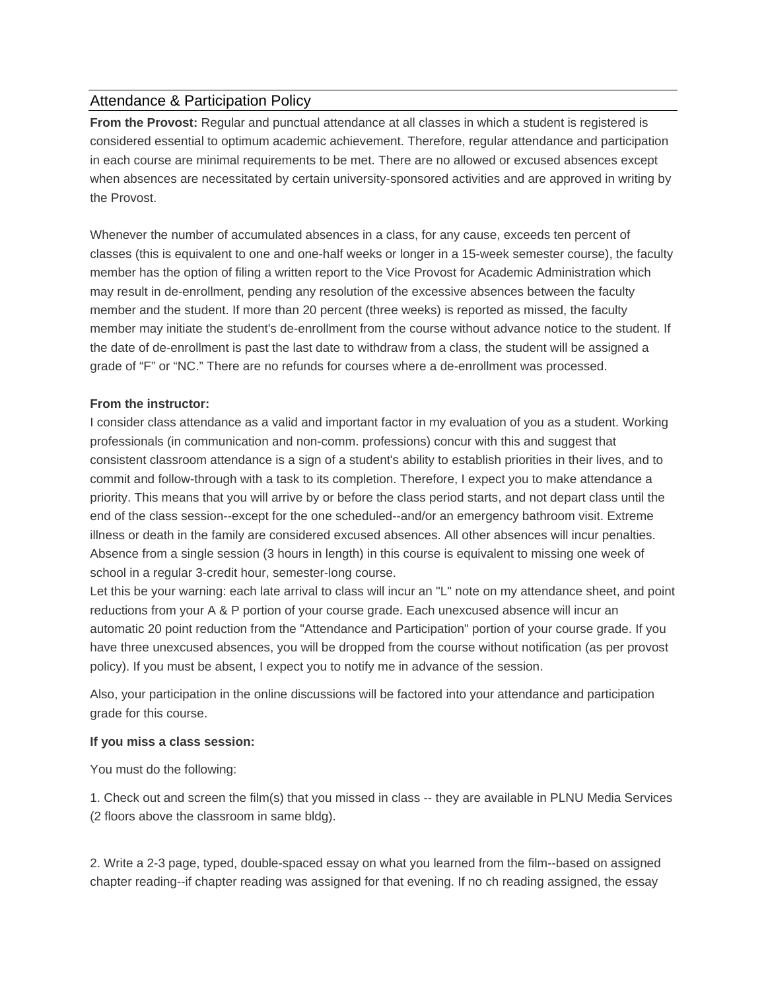## Attendance & Participation Policy

**From the Provost:** Regular and punctual attendance at all classes in which a student is registered is considered essential to optimum academic achievement. Therefore, regular attendance and participation in each course are minimal requirements to be met. There are no allowed or excused absences except when absences are necessitated by certain university-sponsored activities and are approved in writing by the Provost.

Whenever the number of accumulated absences in a class, for any cause, exceeds ten percent of classes (this is equivalent to one and one-half weeks or longer in a 15-week semester course), the faculty member has the option of filing a written report to the Vice Provost for Academic Administration which may result in de-enrollment, pending any resolution of the excessive absences between the faculty member and the student. If more than 20 percent (three weeks) is reported as missed, the faculty member may initiate the student's de-enrollment from the course without advance notice to the student. If the date of de-enrollment is past the last date to withdraw from a class, the student will be assigned a grade of "F" or "NC." There are no refunds for courses where a de-enrollment was processed.

### **From the instructor:**

I consider class attendance as a valid and important factor in my evaluation of you as a student. Working professionals (in communication and non-comm. professions) concur with this and suggest that consistent classroom attendance is a sign of a student's ability to establish priorities in their lives, and to commit and follow-through with a task to its completion. Therefore, I expect you to make attendance a priority. This means that you will arrive by or before the class period starts, and not depart class until the end of the class session--except for the one scheduled--and/or an emergency bathroom visit. Extreme illness or death in the family are considered excused absences. All other absences will incur penalties. Absence from a single session (3 hours in length) in this course is equivalent to missing one week of school in a regular 3-credit hour, semester-long course.

Let this be your warning: each late arrival to class will incur an "L" note on my attendance sheet, and point reductions from your A & P portion of your course grade. Each unexcused absence will incur an automatic 20 point reduction from the "Attendance and Participation" portion of your course grade. If you have three unexcused absences, you will be dropped from the course without notification (as per provost policy). If you must be absent, I expect you to notify me in advance of the session.

Also, your participation in the online discussions will be factored into your attendance and participation grade for this course.

#### **If you miss a class session:**

You must do the following:

1. Check out and screen the film(s) that you missed in class -- they are available in PLNU Media Services (2 floors above the classroom in same bldg).

2. Write a 2-3 page, typed, double-spaced essay on what you learned from the film--based on assigned chapter reading--if chapter reading was assigned for that evening. If no ch reading assigned, the essay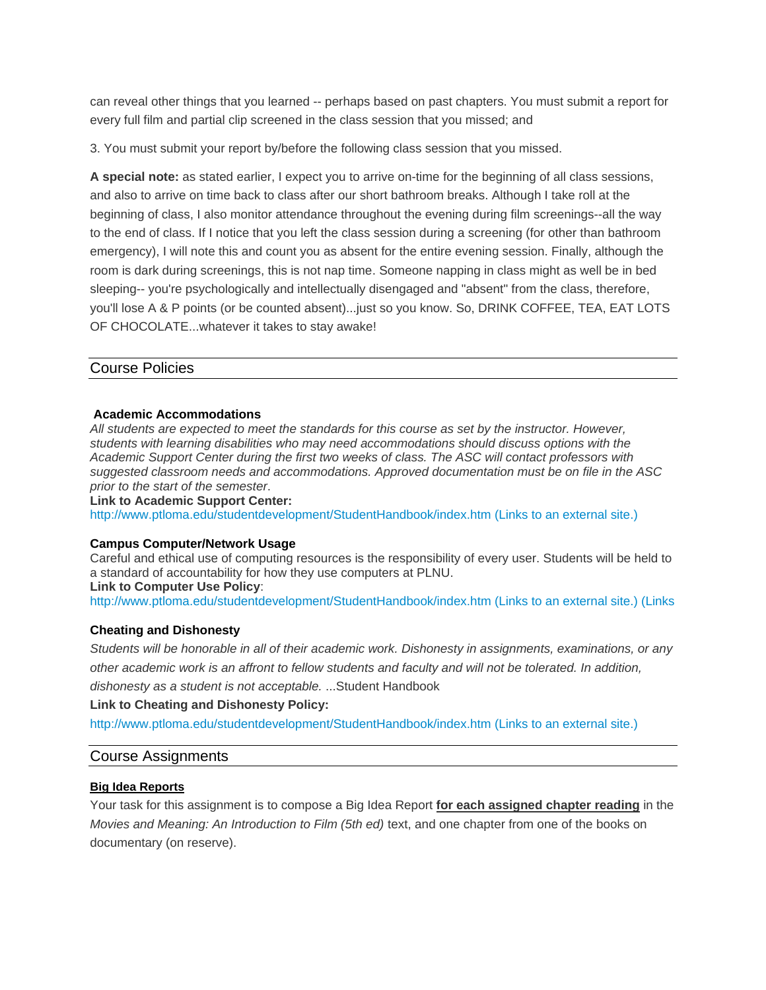can reveal other things that you learned -- perhaps based on past chapters. You must submit a report for every full film and partial clip screened in the class session that you missed; and

3. You must submit your report by/before the following class session that you missed.

**A special note:** as stated earlier, I expect you to arrive on-time for the beginning of all class sessions, and also to arrive on time back to class after our short bathroom breaks. Although I take roll at the beginning of class, I also monitor attendance throughout the evening during film screenings--all the way to the end of class. If I notice that you left the class session during a screening (for other than bathroom emergency), I will note this and count you as absent for the entire evening session. Finally, although the room is dark during screenings, this is not nap time. Someone napping in class might as well be in bed sleeping-- you're psychologically and intellectually disengaged and "absent" from the class, therefore, you'll lose A & P points (or be counted absent)...just so you know. So, DRINK COFFEE, TEA, EAT LOTS OF CHOCOLATE...whatever it takes to stay awake!

### Course Policies

#### **Academic Accommodations**

*All students are expected to meet the standards for this course as set by the instructor. However, students with learning disabilities who may need accommodations should discuss options with the Academic Support Center during the first two weeks of class. The ASC will contact professors with suggested classroom needs and accommodations. Approved documentation must be on file in the ASC prior to the start of the semester*.

**Link to Academic Support Center:**

http://www.ptloma.edu/studentdevelopment/StudentHandbook/index.htm (Links to an external site.)

#### **Campus Computer/Network Usage**

Careful and ethical use of computing resources is the responsibility of every user. Students will be held to a standard of accountability for how they use computers at PLNU.

#### **Link to Computer Use Policy**:

http://www.ptloma.edu/studentdevelopment/StudentHandbook/index.htm (Links to an external site.) (Links

### **Cheating and Dishonesty**

*Students will be honorable in all of their academic work. Dishonesty in assignments, examinations, or any other academic work is an affront to fellow students and faculty and will not be tolerated. In addition, dishonesty as a student is not acceptable.* ...Student Handbook

**Link to Cheating and Dishonesty Policy:**

http://www.ptloma.edu/studentdevelopment/StudentHandbook/index.htm (Links to an external site.)

### Course Assignments

### **Big Idea Reports**

Your task for this assignment is to compose a Big Idea Report **for each assigned chapter reading** in the *Movies and Meaning: An Introduction to Film (5th ed)* text, and one chapter from one of the books on documentary (on reserve).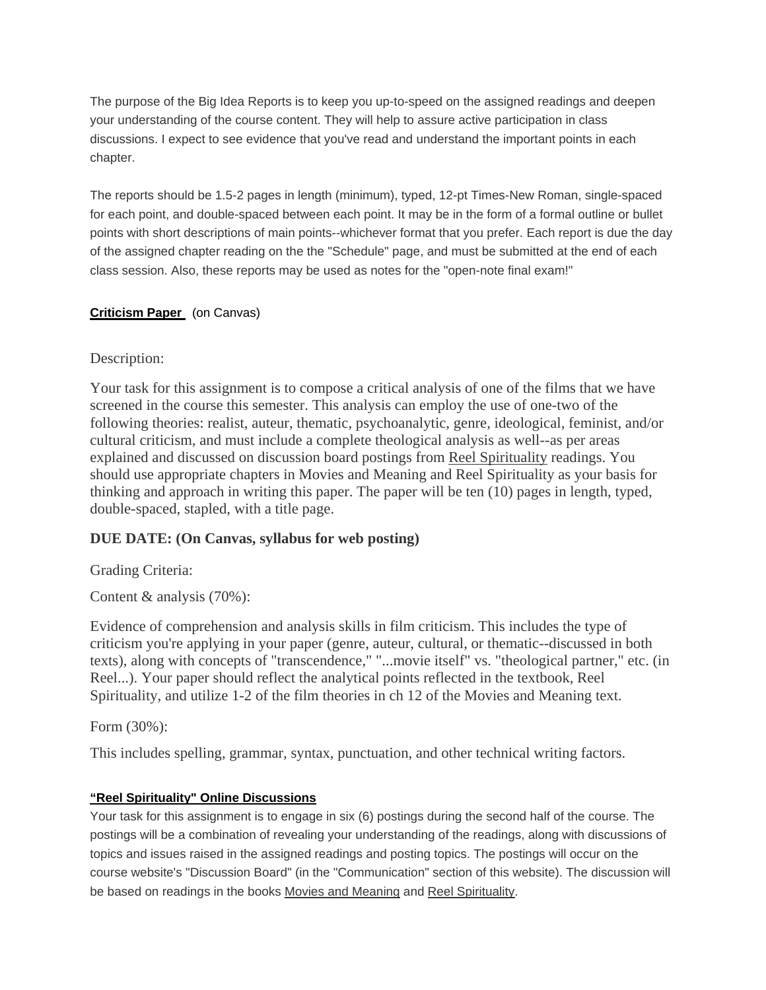The purpose of the Big Idea Reports is to keep you up-to-speed on the assigned readings and deepen your understanding of the course content. They will help to assure active participation in class discussions. I expect to see evidence that you've read and understand the important points in each chapter.

The reports should be 1.5-2 pages in length (minimum), typed, 12-pt Times-New Roman, single-spaced for each point, and double-spaced between each point. It may be in the form of a formal outline or bullet points with short descriptions of main points--whichever format that you prefer. Each report is due the day of the assigned chapter reading on the the "Schedule" page, and must be submitted at the end of each class session. Also, these reports may be used as notes for the "open-note final exam!"

## **Criticism Paper** (on Canvas)

## Description:

Your task for this assignment is to compose a critical analysis of one of the films that we have screened in the course this semester. This analysis can employ the use of one-two of the following theories: realist, auteur, thematic, psychoanalytic, genre, ideological, feminist, and/or cultural criticism, and must include a complete theological analysis as well--as per areas explained and discussed on discussion board postings from Reel Spirituality readings. You should use appropriate chapters in Movies and Meaning and Reel Spirituality as your basis for thinking and approach in writing this paper. The paper will be ten (10) pages in length, typed, double-spaced, stapled, with a title page.

# **DUE DATE: (On Canvas, syllabus for web posting)**

Grading Criteria:

Content & analysis (70%):

Evidence of comprehension and analysis skills in film criticism. This includes the type of criticism you're applying in your paper (genre, auteur, cultural, or thematic--discussed in both texts), along with concepts of "transcendence," "...movie itself" vs. "theological partner," etc. (in Reel...). Your paper should reflect the analytical points reflected in the textbook, Reel Spirituality, and utilize 1-2 of the film theories in ch 12 of the Movies and Meaning text.

Form (30%):

This includes spelling, grammar, syntax, punctuation, and other technical writing factors.

## **"Reel Spirituality" Online Discussions**

Your task for this assignment is to engage in six (6) postings during the second half of the course. The postings will be a combination of revealing your understanding of the readings, along with discussions of topics and issues raised in the assigned readings and posting topics. The postings will occur on the course website's "Discussion Board" (in the "Communication" section of this website). The discussion will be based on readings in the books Movies and Meaning and Reel Spirituality.